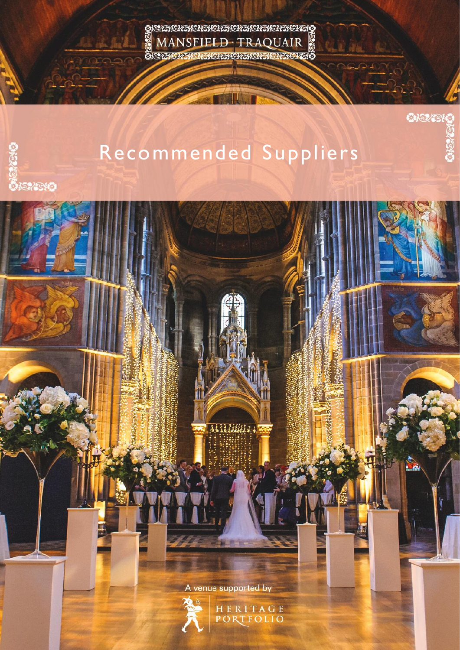<u> 952616261626162616261626162616</u> MANSFIELD · TRAQUAIR öszaczaczaczaczaczaczaczaó

Recommended Suppliers

不可疑

**OKSZENO** 

 $\mathbf{A}$ 

A venue supported by

Millian :



HERITAGE<br>PORTFOLIO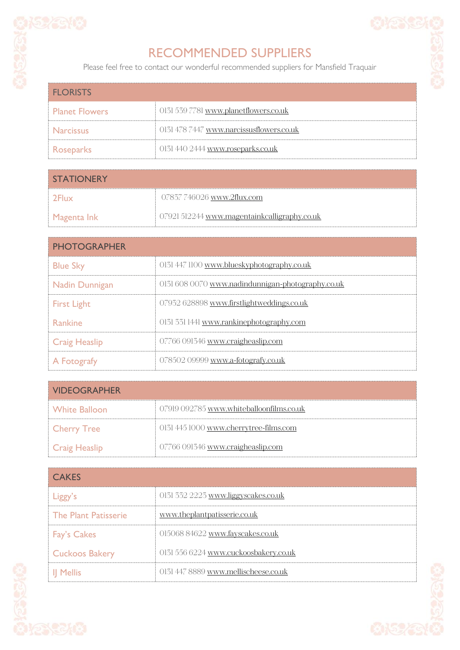

## RECOMMENDED SUPPLIERS

Please feel free to contact our wonderful recommended suppliers for Mansfield Traquair

| <b>FLORISTS</b>       |                                          |
|-----------------------|------------------------------------------|
| <b>Planet Flowers</b> | 0131 539 7781 www.planetflowers.co.uk    |
| <b>Narcissus</b>      | 0131 478 7447 www.narcissusflowers.co.uk |
| Roseparks             | 0131 440 2444 www.roseparks.co.uk        |

| <b>STATIONERY</b> |                                              |
|-------------------|----------------------------------------------|
| -2Flux            | 07837 746026 www.2flux.com                   |
| Magenta Ink       | 07921 512244 www.magentainkcalligraphy.co.uk |

| <b>PHOTOGRAPHER</b>   |                                                   |
|-----------------------|---------------------------------------------------|
| <b>Blue Sky</b>       | 0131 447 1100 www.blueskyphotography.co.uk        |
| <b>Nadin Dunnigan</b> | 0131 608 0070 www.nadindunnigan-photography.co.uk |
| <b>First Light</b>    | 07932 628898 www.firstlightweddings.co.uk         |
| Rankine               | 0131 331 1441 www.rankinephotography.com          |
| <b>Craig Heaslip</b>  | 07766 091346 www.craigheaslip.com                 |
| A Fotografy           | 078502 09999 www.a-fotografy.co.uk                |

| <b>VIDEOGRAPHER</b> |                                          |
|---------------------|------------------------------------------|
| White Balloon       | 07919 092785 www.whiteballoonfilms.co.uk |
| <b>Cherry Tree</b>  | 0131 445 1000 www.cherrytree-films.com   |
| Craig Heaslip       | 07766 091346 www.craigheaslip.com        |

| <b>CAKES</b>                |                                       |
|-----------------------------|---------------------------------------|
| Liggy's                     | 0131 332 2223 www.liggyscakes.co.uk   |
| <b>The Plant Patisserie</b> | www.theplantpatisserie.co.uk          |
| <b>Fay's Cakes</b>          | 015068 84622 www.fayscakes.co.uk      |
| <b>Cuckoos Bakery</b>       | 0131 556 6224 www.cuckoosbakery.co.uk |
| Il Mellis                   | 0131 447 8889 www.mellischeese.co.uk  |



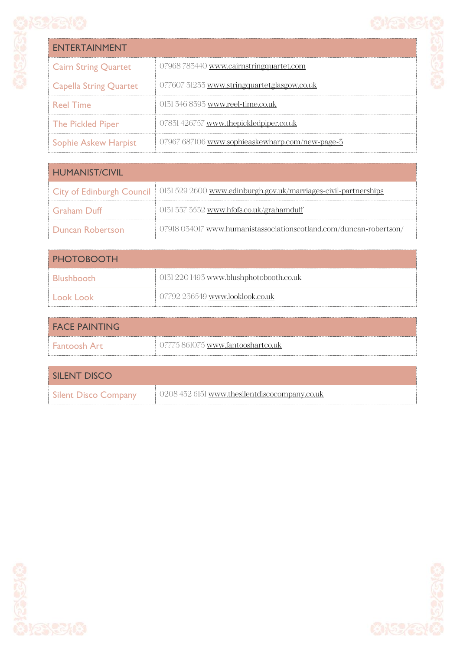

| <b>ENTERTAINMENT</b>          |                                                 |
|-------------------------------|-------------------------------------------------|
| <b>Cairn String Quartet</b>   | 07968783440 www.cairnstringquartet.com          |
| <b>Capella String Quartet</b> | 077607 31233 www.stringquartetglasgow.co.uk     |
| <b>Reel Time</b>              | 0131 346 8393 www.reel-time.co.uk               |
| <b>The Pickled Piper</b>      | 07831426757 www.thepickledpiper.co.uk           |
| <b>Sophie Askew Harpist</b>   | 07967 687106 www.sophieaskewharp.com/new-page-3 |

| <b>HUMANIST/CIVIL</b>   |                                                                                             |
|-------------------------|---------------------------------------------------------------------------------------------|
|                         | City of Edinburgh Council   0131 529 2600 www.edinburgh.gov.uk/marriages-civil-partnerships |
| <b>Graham</b> Duff      | 0131 337 3532 www.hfofs.co.uk/grahamduff                                                    |
| <b>Duncan Robertson</b> | 07918 034017 www.humanistassociationscotland.com/duncan-robertson/                          |

| <b>PHOTOBOOTH</b> |                                         |
|-------------------|-----------------------------------------|
| <b>Blushbooth</b> | 0131 220 1493 www.blushphotobooth.co.uk |
| Look Look         | 07792 236549 www.looklook.co.uk         |

| <b>FACE PAINTING</b> |                                   |
|----------------------|-----------------------------------|
| l Fantoosh Art       | 07775 861075 www.fantooshartco.uk |

| SILENT DISCO         |                                               |
|----------------------|-----------------------------------------------|
| Silent Disco Company | 0208 432 6151 www.thesilentdiscocompany.co.uk |